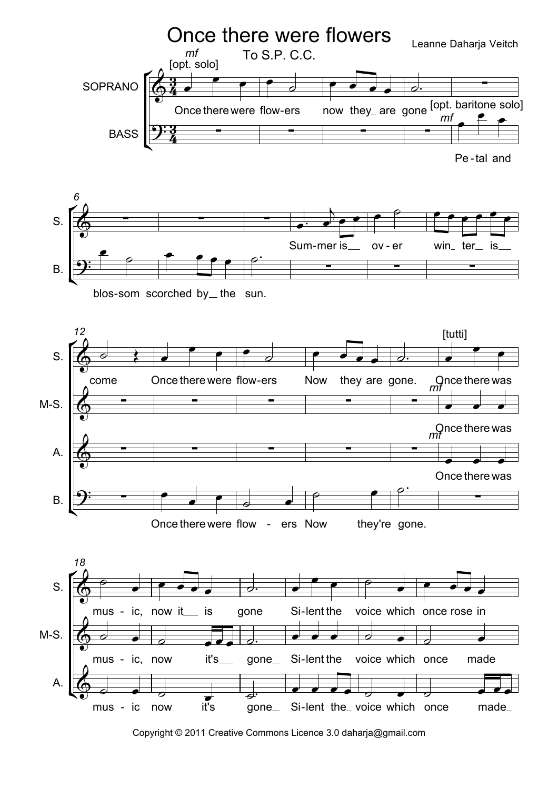

Copyright © 2011 Creative Commons Licence 3.0 daharja@gmail.com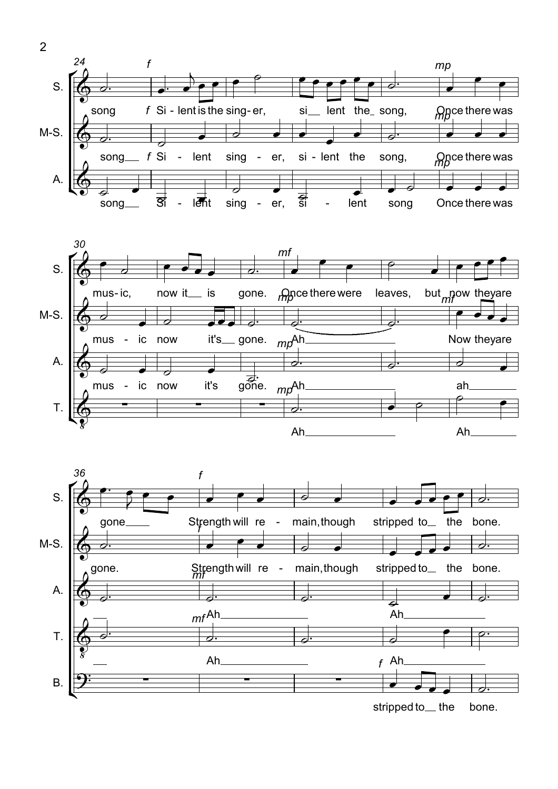





stripped to $\equiv$  the bone.

2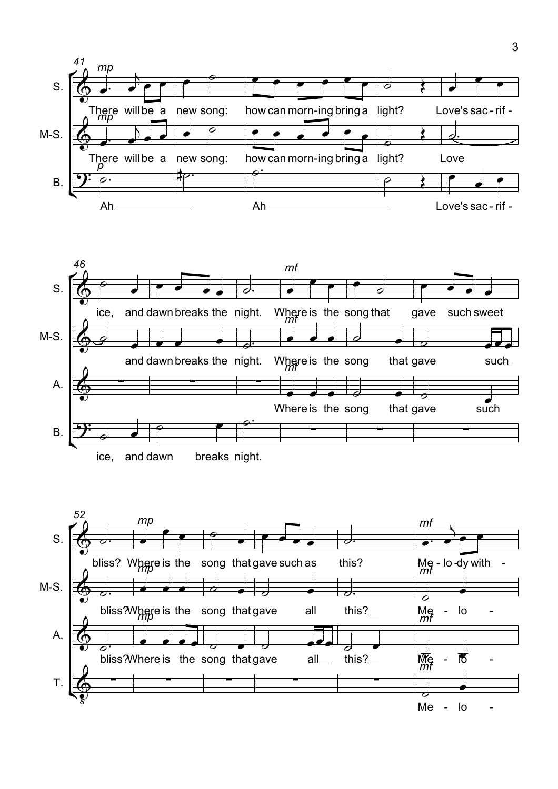